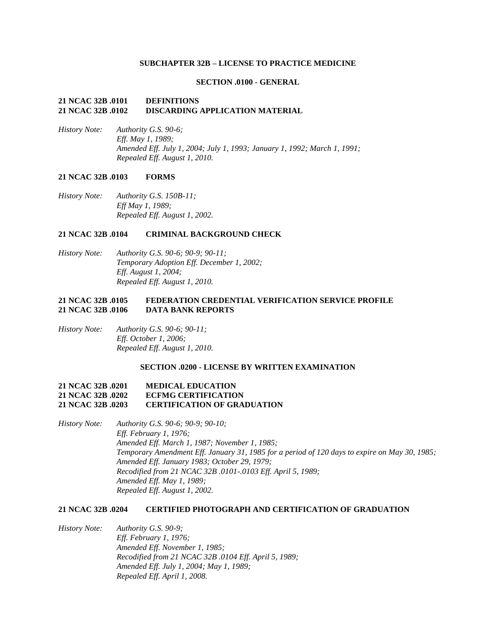### **SUBCHAPTER 32B – LICENSE TO PRACTICE MEDICINE**

### **SECTION .0100 - GENERAL**

## **21 NCAC 32B .0101 DEFINITIONS 21 NCAC 32B .0102 DISCARDING APPLICATION MATERIAL**

*History Note: Authority G.S. 90-6; Eff. May 1, 1989; Amended Eff. July 1, 2004; July 1, 1993; January 1, 1992; March 1, 1991; Repealed Eff. August 1, 2010.*

#### **21 NCAC 32B .0103 FORMS**

*History Note: Authority G.S. 150B-11; Eff May 1, 1989; Repealed Eff. August 1, 2002.*

## **21 NCAC 32B .0104 CRIMINAL BACKGROUND CHECK**

*History Note: Authority G.S. 90-6; 90-9; 90-11; Temporary Adoption Eff. December 1, 2002; Eff. August 1, 2004; Repealed Eff. August 1, 2010.*

### **21 NCAC 32B .0105 FEDERATION CREDENTIAL VERIFICATION SERVICE PROFILE 21 NCAC 32B .0106 DATA BANK REPORTS**

*History Note: Authority G.S. 90-6; 90-11; Eff. October 1, 2006; Repealed Eff. August 1, 2010.*

#### **SECTION .0200 - LICENSE BY WRITTEN EXAMINATION**

### **21 NCAC 32B .0201 MEDICAL EDUCATION 21 NCAC 32B .0202 ECFMG CERTIFICATION 21 NCAC 32B .0203 CERTIFICATION OF GRADUATION**

*History Note: Authority G.S. 90-6; 90-9; 90-10; Eff. February 1, 1976; Amended Eff. March 1, 1987; November 1, 1985; Temporary Amendment Eff. January 31, 1985 for a period of 120 days to expire on May 30, 1985; Amended Eff. January 1983; October 29, 1979; Recodified from 21 NCAC 32B .0101-.0103 Eff. April 5, 1989; Amended Eff. May 1, 1989; Repealed Eff. August 1, 2002.*

### **21 NCAC 32B .0204 CERTIFIED PHOTOGRAPH AND CERTIFICATION OF GRADUATION**

*History Note: Authority G.S. 90-9; Eff. February 1, 1976; Amended Eff. November 1, 1985; Recodified from 21 NCAC 32B .0104 Eff. April 5, 1989; Amended Eff. July 1, 2004; May 1, 1989; Repealed Eff. April 1, 2008.*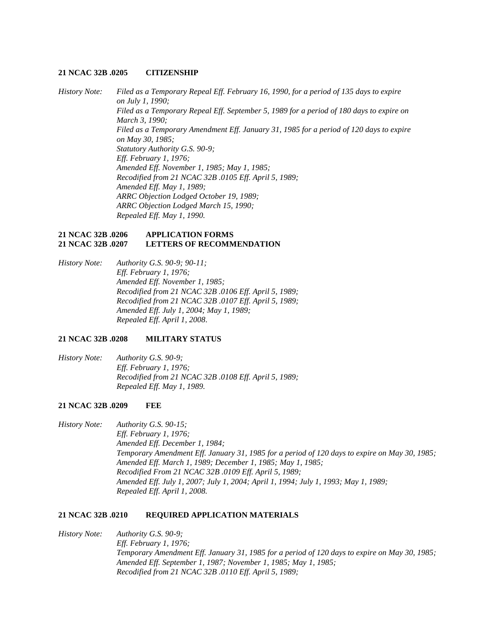#### **21 NCAC 32B .0205 CITIZENSHIP**

*History Note: Filed as a Temporary Repeal Eff. February 16, 1990, for a period of 135 days to expire on July 1, 1990; Filed as a Temporary Repeal Eff. September 5, 1989 for a period of 180 days to expire on March 3, 1990; Filed as a Temporary Amendment Eff. January 31, 1985 for a period of 120 days to expire on May 30, 1985; Statutory Authority G.S. 90-9; Eff. February 1, 1976; Amended Eff. November 1, 1985; May 1, 1985; Recodified from 21 NCAC 32B .0105 Eff. April 5, 1989; Amended Eff. May 1, 1989; ARRC Objection Lodged October 19, 1989; ARRC Objection Lodged March 15, 1990; Repealed Eff. May 1, 1990.*

#### **21 NCAC 32B .0206 APPLICATION FORMS 21 NCAC 32B .0207 LETTERS OF RECOMMENDATION**

*History Note: Authority G.S. 90-9; 90-11; Eff. February 1, 1976; Amended Eff. November 1, 1985; Recodified from 21 NCAC 32B .0106 Eff. April 5, 1989; Recodified from 21 NCAC 32B .0107 Eff. April 5, 1989; Amended Eff. July 1, 2004; May 1, 1989; Repealed Eff. April 1, 2008.*

### **21 NCAC 32B .0208 MILITARY STATUS**

*History Note: Authority G.S. 90-9; Eff. February 1, 1976; Recodified from 21 NCAC 32B .0108 Eff. April 5, 1989; Repealed Eff. May 1, 1989.*

#### **21 NCAC 32B .0209 FEE**

*History Note: Authority G.S. 90-15; Eff. February 1, 1976; Amended Eff. December 1, 1984; Temporary Amendment Eff. January 31, 1985 for a period of 120 days to expire on May 30, 1985; Amended Eff. March 1, 1989; December 1, 1985; May 1, 1985; Recodified From 21 NCAC 32B .0109 Eff. April 5, 1989; Amended Eff. July 1, 2007; July 1, 2004; April 1, 1994; July 1, 1993; May 1, 1989; Repealed Eff. April 1, 2008.*

#### **21 NCAC 32B .0210 REQUIRED APPLICATION MATERIALS**

## *History Note: Authority G.S. 90-9; Eff. February 1, 1976; Temporary Amendment Eff. January 31, 1985 for a period of 120 days to expire on May 30, 1985; Amended Eff. September 1, 1987; November 1, 1985; May 1, 1985; Recodified from 21 NCAC 32B .0110 Eff. April 5, 1989;*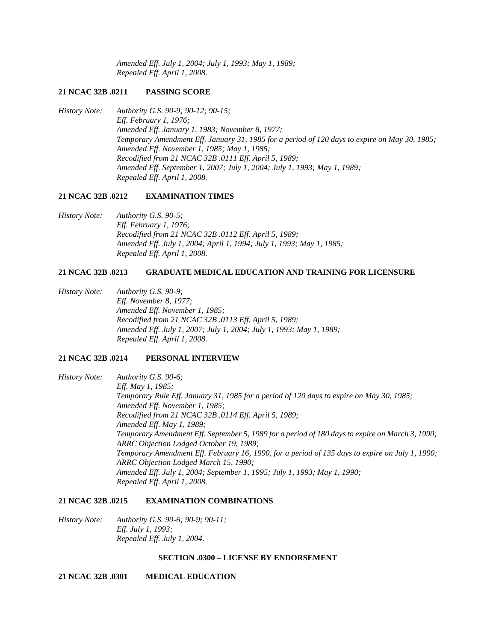*Amended Eff. July 1, 2004; July 1, 1993; May 1, 1989; Repealed Eff. April 1, 2008.*

#### **21 NCAC 32B .0211 PASSING SCORE**

*History Note: Authority G.S. 90-9; 90-12; 90-15; Eff. February 1, 1976; Amended Eff. January 1, 1983; November 8, 1977; Temporary Amendment Eff. January 31, 1985 for a period of 120 days to expire on May 30, 1985; Amended Eff. November 1, 1985; May 1, 1985; Recodified from 21 NCAC 32B .0111 Eff. April 5, 1989; Amended Eff. September 1, 2007; July 1, 2004; July 1, 1993; May 1, 1989; Repealed Eff. April 1, 2008.*

#### **21 NCAC 32B .0212 EXAMINATION TIMES**

*History Note: Authority G.S. 90-5; Eff. February 1, 1976; Recodified from 21 NCAC 32B .0112 Eff. April 5, 1989; Amended Eff. July 1, 2004; April 1, 1994; July 1, 1993; May 1, 1985; Repealed Eff. April 1, 2008.*

## **21 NCAC 32B .0213 GRADUATE MEDICAL EDUCATION AND TRAINING FOR LICENSURE**

*History Note: Authority G.S. 90-9; Eff. November 8, 1977; Amended Eff. November 1, 1985; Recodified from 21 NCAC 32B .0113 Eff. April 5, 1989; Amended Eff. July 1, 2007; July 1, 2004; July 1, 1993; May 1, 1989; Repealed Eff. April 1, 2008.*

### **21 NCAC 32B .0214 PERSONAL INTERVIEW**

*History Note: Authority G.S. 90-6; Eff. May 1, 1985; Temporary Rule Eff. January 31, 1985 for a period of 120 days to expire on May 30, 1985; Amended Eff. November 1, 1985; Recodified from 21 NCAC 32B .0114 Eff. April 5, 1989; Amended Eff. May 1, 1989; Temporary Amendment Eff. September 5, 1989 for a period of 180 days to expire on March 3, 1990; ARRC Objection Lodged October 19, 1989; Temporary Amendment Eff. February 16, 1990, for a period of 135 days to expire on July 1, 1990; ARRC Objection Lodged March 15, 1990; Amended Eff. July 1, 2004; September 1, 1995; July 1, 1993; May 1, 1990; Repealed Eff. April 1, 2008.*

# **21 NCAC 32B .0215 EXAMINATION COMBINATIONS**

*History Note: Authority G.S. 90-6; 90-9; 90-11; Eff. July 1, 1993; Repealed Eff. July 1, 2004.*

#### **SECTION .0300 – LICENSE BY ENDORSEMENT**

**21 NCAC 32B .0301 MEDICAL EDUCATION**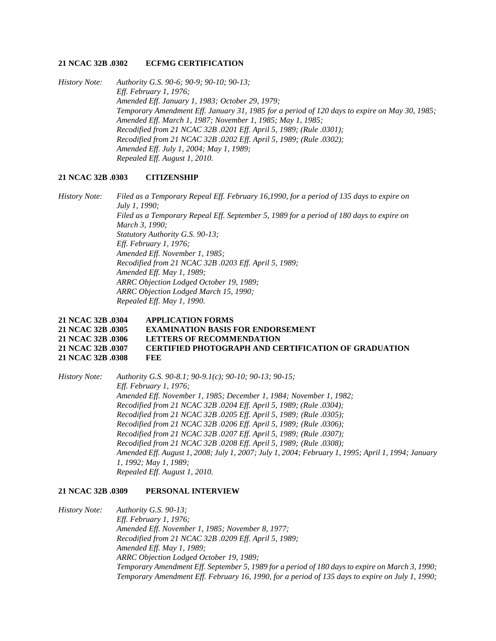#### **21 NCAC 32B .0302 ECFMG CERTIFICATION**

*History Note: Authority G.S. 90-6; 90-9; 90-10; 90-13; Eff. February 1, 1976; Amended Eff. January 1, 1983; October 29, 1979; Temporary Amendment Eff. January 31, 1985 for a period of 120 days to expire on May 30, 1985; Amended Eff. March 1, 1987; November 1, 1985; May 1, 1985; Recodified from 21 NCAC 32B .0201 Eff. April 5, 1989; (Rule .0301); Recodified from 21 NCAC 32B .0202 Eff. April 5, 1989; (Rule .0302); Amended Eff. July 1, 2004; May 1, 1989; Repealed Eff. August 1, 2010.*

### **21 NCAC 32B .0303 CITIZENSHIP**

*History Note: Filed as a Temporary Repeal Eff. February 16,1990, for a period of 135 days to expire on July 1, 1990; Filed as a Temporary Repeal Eff. September 5, 1989 for a period of 180 days to expire on March 3, 1990; Statutory Authority G.S. 90-13; Eff. February 1, 1976; Amended Eff. November 1, 1985; Recodified from 21 NCAC 32B .0203 Eff. April 5, 1989; Amended Eff. May 1, 1989; ARRC Objection Lodged October 19, 1989; ARRC Objection Lodged March 15, 1990; Repealed Eff. May 1, 1990.*

## **21 NCAC 32B .0304 APPLICATION FORMS 21 NCAC 32B .0305 EXAMINATION BASIS FOR ENDORSEMENT 21 NCAC 32B .0306 LETTERS OF RECOMMENDATION 21 NCAC 32B .0307 CERTIFIED PHOTOGRAPH AND CERTIFICATION OF GRADUATION 21 NCAC 32B .0308 FEE**

*History Note: Authority G.S. 90-8.1; 90-9.1(c); 90-10; 90-13; 90-15; Eff. February 1, 1976; Amended Eff. November 1, 1985; December 1, 1984; November 1, 1982; Recodified from 21 NCAC 32B .0204 Eff. April 5, 1989; (Rule .0304); Recodified from 21 NCAC 32B .0205 Eff. April 5, 1989; (Rule .0305); Recodified from 21 NCAC 32B .0206 Eff. April 5, 1989; (Rule .0306); Recodified from 21 NCAC 32B .0207 Eff. April 5, 1989; (Rule .0307); Recodified from 21 NCAC 32B .0208 Eff. April 5, 1989; (Rule .0308); Amended Eff. August 1, 2008; July 1, 2007; July 1, 2004; February 1, 1995; April 1, 1994; January 1, 1992; May 1, 1989; Repealed Eff. August 1, 2010.*

#### **21 NCAC 32B .0309 PERSONAL INTERVIEW**

*History Note: Authority G.S. 90-13; Eff. February 1, 1976; Amended Eff. November 1, 1985; November 8, 1977; Recodified from 21 NCAC 32B .0209 Eff. April 5, 1989; Amended Eff. May 1, 1989; ARRC Objection Lodged October 19, 1989; Temporary Amendment Eff. September 5, 1989 for a period of 180 days to expire on March 3, 1990; Temporary Amendment Eff. February 16, 1990, for a period of 135 days to expire on July 1, 1990;*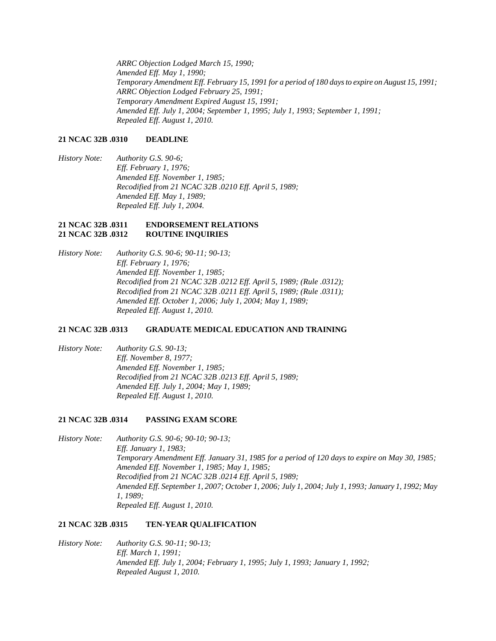*ARRC Objection Lodged March 15, 1990; Amended Eff. May 1, 1990; Temporary Amendment Eff. February 15, 1991 for a period of 180 days to expire on August 15, 1991; ARRC Objection Lodged February 25, 1991; Temporary Amendment Expired August 15, 1991; Amended Eff. July 1, 2004; September 1, 1995; July 1, 1993; September 1, 1991; Repealed Eff. August 1, 2010.*

### **21 NCAC 32B .0310 DEADLINE**

*History Note: Authority G.S. 90-6; Eff. February 1, 1976; Amended Eff. November 1, 1985; Recodified from 21 NCAC 32B .0210 Eff. April 5, 1989; Amended Eff. May 1, 1989; Repealed Eff. July 1, 2004.*

### **21 NCAC 32B .0311 ENDORSEMENT RELATIONS 21 NCAC 32B .0312 ROUTINE INQUIRIES**

*History Note: Authority G.S. 90-6; 90-11; 90-13; Eff. February 1, 1976; Amended Eff. November 1, 1985; Recodified from 21 NCAC 32B .0212 Eff. April 5, 1989; (Rule .0312); Recodified from 21 NCAC 32B .0211 Eff. April 5, 1989; (Rule .0311); Amended Eff. October 1, 2006; July 1, 2004; May 1, 1989; Repealed Eff. August 1, 2010.*

### **21 NCAC 32B .0313 GRADUATE MEDICAL EDUCATION AND TRAINING**

*History Note: Authority G.S. 90-13; Eff. November 8, 1977; Amended Eff. November 1, 1985; Recodified from 21 NCAC 32B .0213 Eff. April 5, 1989; Amended Eff. July 1, 2004; May 1, 1989; Repealed Eff. August 1, 2010.*

### **21 NCAC 32B .0314 PASSING EXAM SCORE**

*History Note: Authority G.S. 90-6; 90-10; 90-13; Eff. January 1, 1983; Temporary Amendment Eff. January 31, 1985 for a period of 120 days to expire on May 30, 1985; Amended Eff. November 1, 1985; May 1, 1985; Recodified from 21 NCAC 32B .0214 Eff. April 5, 1989; Amended Eff. September 1, 2007; October 1, 2006; July 1, 2004; July 1, 1993; January 1, 1992; May 1, 1989; Repealed Eff. August 1, 2010.*

### **21 NCAC 32B .0315 TEN-YEAR QUALIFICATION**

*History Note: Authority G.S. 90-11; 90-13; Eff. March 1, 1991; Amended Eff. July 1, 2004; February 1, 1995; July 1, 1993; January 1, 1992; Repealed August 1, 2010.*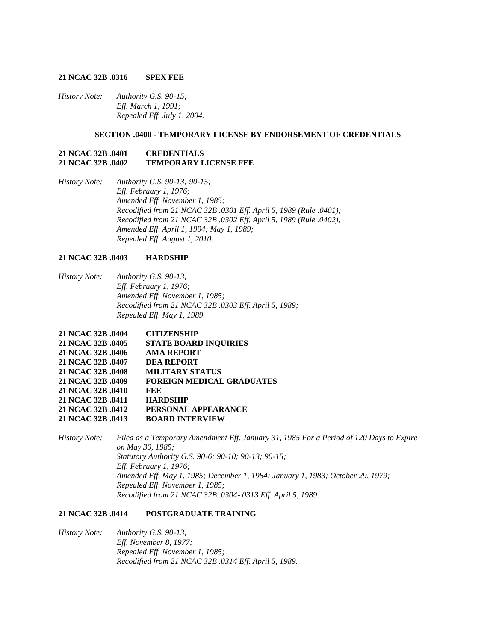#### **21 NCAC 32B .0316 SPEX FEE**

*History Note: Authority G.S. 90-15; Eff. March 1, 1991; Repealed Eff. July 1, 2004.*

### **SECTION .0400 - TEMPORARY LICENSE BY ENDORSEMENT OF CREDENTIALS**

### **21 NCAC 32B .0401 CREDENTIALS 21 NCAC 32B .0402 TEMPORARY LICENSE FEE**

*History Note: Authority G.S. 90-13; 90-15; Eff. February 1, 1976; Amended Eff. November 1, 1985; Recodified from 21 NCAC 32B .0301 Eff. April 5, 1989 (Rule .0401); Recodified from 21 NCAC 32B .0302 Eff. April 5, 1989 (Rule .0402); Amended Eff. April 1, 1994; May 1, 1989; Repealed Eff. August 1, 2010.*

## **21 NCAC 32B .0403 HARDSHIP**

*History Note: Authority G.S. 90-13; Eff. February 1, 1976; Amended Eff. November 1, 1985; Recodified from 21 NCAC 32B .0303 Eff. April 5, 1989; Repealed Eff. May 1, 1989.*

| 21 NCAC 32B .0404 | <b>CITIZENSHIP</b>               |
|-------------------|----------------------------------|
| 21 NCAC 32B .0405 | <b>STATE BOARD INQUIRIES</b>     |
| 21 NCAC 32B .0406 | <b>AMA REPORT</b>                |
| 21 NCAC 32B .0407 | <b>DEA REPORT</b>                |
| 21 NCAC 32B .0408 | <b>MILITARY STATUS</b>           |
| 21 NCAC 32B .0409 | <b>FOREIGN MEDICAL GRADUATES</b> |
| 21 NCAC 32B .0410 | FEE                              |
| 21 NCAC 32B .0411 | <b>HARDSHIP</b>                  |
| 21 NCAC 32B .0412 | PERSONAL APPEARANCE              |
| 21 NCAC 32B .0413 | <b>BOARD INTERVIEW</b>           |

*History Note: Filed as a Temporary Amendment Eff. January 31, 1985 For a Period of 120 Days to Expire on May 30, 1985; Statutory Authority G.S. 90-6; 90-10; 90-13; 90-15; Eff. February 1, 1976; Amended Eff. May 1, 1985; December 1, 1984; January 1, 1983; October 29, 1979; Repealed Eff. November 1, 1985; Recodified from 21 NCAC 32B .0304-.0313 Eff. April 5, 1989.*

### **21 NCAC 32B .0414 POSTGRADUATE TRAINING**

*History Note: Authority G.S. 90-13; Eff. November 8, 1977; Repealed Eff. November 1, 1985; Recodified from 21 NCAC 32B .0314 Eff. April 5, 1989.*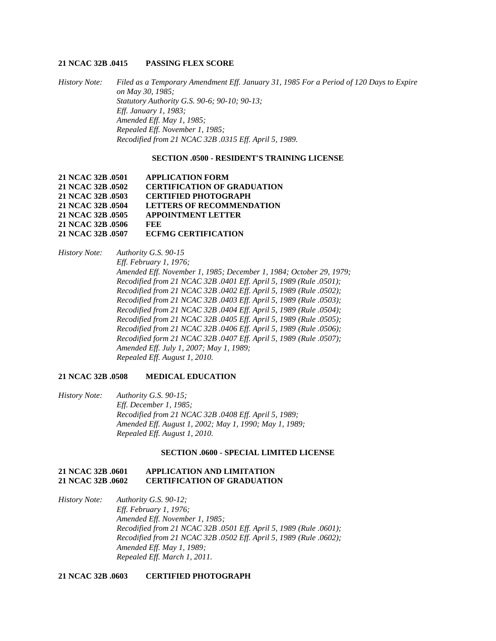#### **21 NCAC 32B .0415 PASSING FLEX SCORE**

*History Note: Filed as a Temporary Amendment Eff. January 31, 1985 For a Period of 120 Days to Expire on May 30, 1985; Statutory Authority G.S. 90-6; 90-10; 90-13; Eff. January 1, 1983; Amended Eff. May 1, 1985; Repealed Eff. November 1, 1985; Recodified from 21 NCAC 32B .0315 Eff. April 5, 1989.*

#### **SECTION .0500 - RESIDENT'S TRAINING LICENSE**

| <b>APPLICATION FORM</b>            |
|------------------------------------|
| <b>CERTIFICATION OF GRADUATION</b> |
| <b>CERTIFIED PHOTOGRAPH</b>        |
| <b>LETTERS OF RECOMMENDATION</b>   |
| <b>APPOINTMENT LETTER</b>          |
| FEE                                |
| <b>ECFMG CERTIFICATION</b>         |
|                                    |

*History Note: Authority G.S. 90-15 Eff. February 1, 1976; Amended Eff. November 1, 1985; December 1, 1984; October 29, 1979; Recodified from 21 NCAC 32B .0401 Eff. April 5, 1989 (Rule .0501); Recodified from 21 NCAC 32B .0402 Eff. April 5, 1989 (Rule .0502); Recodified from 21 NCAC 32B .0403 Eff. April 5, 1989 (Rule .0503); Recodified from 21 NCAC 32B .0404 Eff. April 5, 1989 (Rule .0504); Recodified from 21 NCAC 32B .0405 Eff. April 5, 1989 (Rule .0505); Recodified from 21 NCAC 32B .0406 Eff. April 5, 1989 (Rule .0506); Recodified form 21 NCAC 32B .0407 Eff. April 5, 1989 (Rule .0507); Amended Eff. July 1, 2007; May 1, 1989; Repealed Eff. August 1, 2010.*

#### **21 NCAC 32B .0508 MEDICAL EDUCATION**

*History Note: Authority G.S. 90-15; Eff. December 1, 1985; Recodified from 21 NCAC 32B .0408 Eff. April 5, 1989; Amended Eff. August 1, 2002; May 1, 1990; May 1, 1989; Repealed Eff. August 1, 2010.*

#### **SECTION .0600 - SPECIAL LIMITED LICENSE**

## **21 NCAC 32B .0601 APPLICATION AND LIMITATION 21 NCAC 32B .0602 CERTIFICATION OF GRADUATION**

*History Note: Authority G.S. 90-12; Eff. February 1, 1976; Amended Eff. November 1, 1985; Recodified from 21 NCAC 32B .0501 Eff. April 5, 1989 (Rule .0601); Recodified from 21 NCAC 32B .0502 Eff. April 5, 1989 (Rule .0602); Amended Eff. May 1, 1989; Repealed Eff. March 1, 2011.*

**21 NCAC 32B .0603 CERTIFIED PHOTOGRAPH**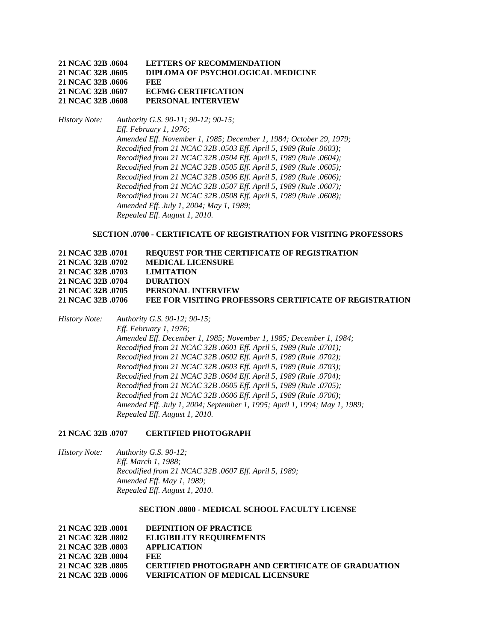| 21 NCAC 32B .0604 | <b>LETTERS OF RECOMMENDATION</b>  |
|-------------------|-----------------------------------|
| 21 NCAC 32B .0605 | DIPLOMA OF PSYCHOLOGICAL MEDICINE |
| 21 NCAC 32B .0606 | <b>FEE</b>                        |
| 21 NCAC 32B .0607 | <b>ECFMG CERTIFICATION</b>        |
| 21 NCAC 32B .0608 | PERSONAL INTERVIEW                |

*History Note: Authority G.S. 90-11; 90-12; 90-15; Eff. February 1, 1976; Amended Eff. November 1, 1985; December 1, 1984; October 29, 1979; Recodified from 21 NCAC 32B .0503 Eff. April 5, 1989 (Rule .0603); Recodified from 21 NCAC 32B .0504 Eff. April 5, 1989 (Rule .0604); Recodified from 21 NCAC 32B .0505 Eff. April 5, 1989 (Rule .0605); Recodified from 21 NCAC 32B .0506 Eff. April 5, 1989 (Rule .0606); Recodified from 21 NCAC 32B .0507 Eff. April 5, 1989 (Rule .0607); Recodified from 21 NCAC 32B .0508 Eff. April 5, 1989 (Rule .0608); Amended Eff. July 1, 2004; May 1, 1989; Repealed Eff. August 1, 2010.*

## **SECTION .0700 - CERTIFICATE OF REGISTRATION FOR VISITING PROFESSORS**

| 21 NCAC 32B .0701 | <b>REQUEST FOR THE CERTIFICATE OF REGISTRATION</b>             |
|-------------------|----------------------------------------------------------------|
| 21 NCAC 32B .0702 | <b>MEDICAL LICENSURE</b>                                       |
| 21 NCAC 32B .0703 | <b>LIMITATION</b>                                              |
| 21 NCAC 32B .0704 | <b>DURATION</b>                                                |
| 21 NCAC 32B .0705 | PERSONAL INTERVIEW                                             |
| 21 NCAC 32B .0706 | <b>FEE FOR VISITING PROFESSORS CERTIFICATE OF REGISTRATION</b> |

*History Note: Authority G.S. 90-12; 90-15; Eff. February 1, 1976; Amended Eff. December 1, 1985; November 1, 1985; December 1, 1984; Recodified from 21 NCAC 32B .0601 Eff. April 5, 1989 (Rule .0701); Recodified from 21 NCAC 32B .0602 Eff. April 5, 1989 (Rule .0702); Recodified from 21 NCAC 32B .0603 Eff. April 5, 1989 (Rule .0703); Recodified from 21 NCAC 32B .0604 Eff. April 5, 1989 (Rule .0704); Recodified from 21 NCAC 32B .0605 Eff. April 5, 1989 (Rule .0705); Recodified from 21 NCAC 32B .0606 Eff. April 5, 1989 (Rule .0706); Amended Eff. July 1, 2004; September 1, 1995; April 1, 1994; May 1, 1989; Repealed Eff. August 1, 2010.*

## **21 NCAC 32B .0707 CERTIFIED PHOTOGRAPH**

*History Note: Authority G.S. 90-12; Eff. March 1, 1988; Recodified from 21 NCAC 32B .0607 Eff. April 5, 1989; Amended Eff. May 1, 1989; Repealed Eff. August 1, 2010.*

### **SECTION .0800 - MEDICAL SCHOOL FACULTY LICENSE**

| 21 NCAC 32B .0801 | <b>DEFINITION OF PRACTICE</b>                             |
|-------------------|-----------------------------------------------------------|
| 21 NCAC 32B .0802 | <b>ELIGIBILITY REOUIREMENTS</b>                           |
| 21 NCAC 32B .0803 | <b>APPLICATION</b>                                        |
| 21 NCAC 32B .0804 | FEE.                                                      |
| 21 NCAC 32B .0805 | <b>CERTIFIED PHOTOGRAPH AND CERTIFICATE OF GRADUATION</b> |
| 21 NCAC 32B .0806 | <b>VERIFICATION OF MEDICAL LICENSURE</b>                  |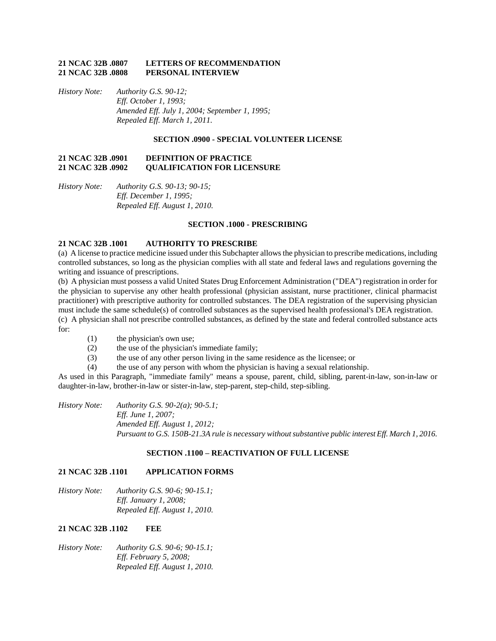### **21 NCAC 32B .0807 LETTERS OF RECOMMENDATION 21 NCAC 32B .0808 PERSONAL INTERVIEW**

*History Note: Authority G.S. 90-12; Eff. October 1, 1993; Amended Eff. July 1, 2004; September 1, 1995; Repealed Eff. March 1, 2011.*

## **SECTION .0900 - SPECIAL VOLUNTEER LICENSE**

## **21 NCAC 32B .0901 DEFINITION OF PRACTICE 21 NCAC 32B .0902 QUALIFICATION FOR LICENSURE**

*History Note: Authority G.S. 90-13; 90-15; Eff. December 1, 1995; Repealed Eff. August 1, 2010.*

#### **SECTION .1000 - PRESCRIBING**

#### **21 NCAC 32B .1001 AUTHORITY TO PRESCRIBE**

(a) A license to practice medicine issued under this Subchapter allows the physician to prescribe medications, including controlled substances, so long as the physician complies with all state and federal laws and regulations governing the writing and issuance of prescriptions.

(b) A physician must possess a valid United States Drug Enforcement Administration ("DEA") registration in order for the physician to supervise any other health professional (physician assistant, nurse practitioner, clinical pharmacist practitioner) with prescriptive authority for controlled substances. The DEA registration of the supervising physician must include the same schedule(s) of controlled substances as the supervised health professional's DEA registration. (c) A physician shall not prescribe controlled substances, as defined by the state and federal controlled substance acts for:

- (1) the physician's own use;
- (2) the use of the physician's immediate family;
- (3) the use of any other person living in the same residence as the licensee; or
- (4) the use of any person with whom the physician is having a sexual relationship.

As used in this Paragraph, "immediate family" means a spouse, parent, child, sibling, parent-in-law, son-in-law or daughter-in-law, brother-in-law or sister-in-law, step-parent, step-child, step-sibling.

*History Note: Authority G.S. 90-2(a); 90-5.1; Eff. June 1, 2007; Amended Eff. August 1, 2012; Pursuant to G.S. 150B-21.3A rule is necessary without substantive public interest Eff. March 1, 2016.*

## **SECTION .1100 – REACTIVATION OF FULL LICENSE**

### **21 NCAC 32B .1101 APPLICATION FORMS**

*History Note: Authority G.S. 90-6; 90-15.1; Eff. January 1, 2008; Repealed Eff. August 1, 2010.*

#### **21 NCAC 32B .1102 FEE**

*History Note: Authority G.S. 90-6; 90-15.1; Eff. February 5, 2008; Repealed Eff. August 1, 2010.*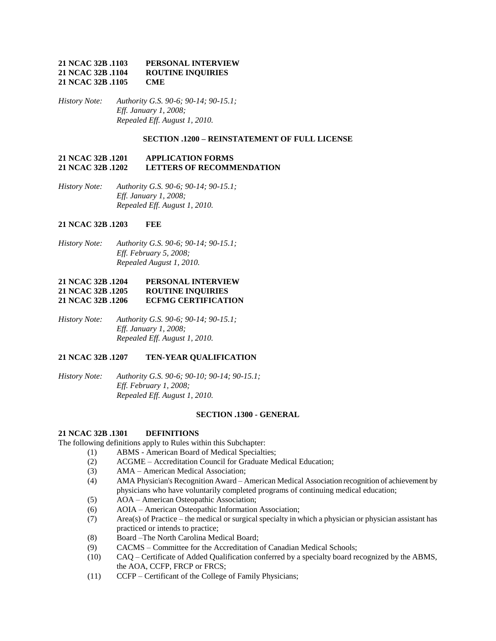## **21 NCAC 32B .1103 PERSONAL INTERVIEW 21 NCAC 32B .1104 ROUTINE INQUIRIES 21 NCAC 32B .1105 CME**

*History Note: Authority G.S. 90-6; 90-14; 90-15.1; Eff. January 1, 2008; Repealed Eff. August 1, 2010.*

### **SECTION .1200 – REINSTATEMENT OF FULL LICENSE**

#### **21 NCAC 32B .1201 APPLICATION FORMS 21 NCAC 32B .1202 LETTERS OF RECOMMENDATION**

*History Note: Authority G.S. 90-6; 90-14; 90-15.1; Eff. January 1, 2008; Repealed Eff. August 1, 2010.*

## **21 NCAC 32B .1203 FEE**

*History Note: Authority G.S. 90-6; 90-14; 90-15.1; Eff. February 5, 2008; Repealed August 1, 2010.*

## **21 NCAC 32B .1204 PERSONAL INTERVIEW 21 NCAC 32B .1205 ROUTINE INQUIRIES 21 NCAC 32B .1206 ECFMG CERTIFICATION**

*History Note: Authority G.S. 90-6; 90-14; 90-15.1; Eff. January 1, 2008; Repealed Eff. August 1, 2010.*

## **21 NCAC 32B .1207 TEN-YEAR QUALIFICATION**

*History Note: Authority G.S. 90-6; 90-10; 90-14; 90-15.1; Eff. February 1, 2008; Repealed Eff. August 1, 2010.*

#### **SECTION .1300 - GENERAL**

### **21 NCAC 32B .1301 DEFINITIONS**

The following definitions apply to Rules within this Subchapter:

- (1) ABMS American Board of Medical Specialties;
- (2) ACGME Accreditation Council for Graduate Medical Education;
- (3) AMA American Medical Association;
- (4) AMA Physician's Recognition Award American Medical Association recognition of achievement by physicians who have voluntarily completed programs of continuing medical education;
- (5) AOA American Osteopathic Association;
- (6) AOIA American Osteopathic Information Association;
- (7) Area(s) of Practice the medical or surgical specialty in which a physician or physician assistant has practiced or intends to practice;
- (8) Board –The North Carolina Medical Board;
- (9) CACMS Committee for the Accreditation of Canadian Medical Schools;
- (10) CAQ Certificate of Added Qualification conferred by a specialty board recognized by the ABMS, the AOA, CCFP, FRCP or FRCS;
- (11) CCFP Certificant of the College of Family Physicians;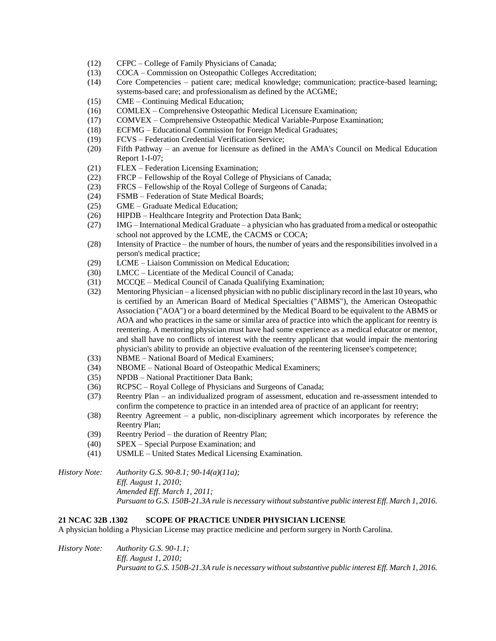- (12) CFPC College of Family Physicians of Canada;
- (13) COCA Commission on Osteopathic Colleges Accreditation;
- (14) Core Competencies patient care; medical knowledge; communication; practice-based learning; systems-based care; and professionalism as defined by the ACGME;
- (15) CME Continuing Medical Education;
- (16) COMLEX Comprehensive Osteopathic Medical Licensure Examination;
- (17) COMVEX Comprehensive Osteopathic Medical Variable-Purpose Examination;
- (18) ECFMG Educational Commission for Foreign Medical Graduates;
- (19) FCVS Federation Credential Verification Service;
- (20) Fifth Pathway an avenue for licensure as defined in the AMA's Council on Medical Education Report 1-I-07;
- (21) FLEX Federation Licensing Examination;
- (22) FRCP Fellowship of the Royal College of Physicians of Canada;
- (23) FRCS Fellowship of the Royal College of Surgeons of Canada;
- (24) FSMB Federation of State Medical Boards;
- (25) GME Graduate Medical Education;
- (26) HIPDB Healthcare Integrity and Protection Data Bank;
- (27) IMG International Medical Graduate a physician who has graduated from a medical or osteopathic school not approved by the LCME, the CACMS or COCA;
- (28) Intensity of Practice the number of hours, the number of years and the responsibilities involved in a person's medical practice;
- (29) LCME Liaison Commission on Medical Education;
- (30) LMCC Licentiate of the Medical Council of Canada;
- (31) MCCQE Medical Council of Canada Qualifying Examination;
- (32) Mentoring Physician a licensed physician with no public disciplinary record in the last 10 years, who is certified by an American Board of Medical Specialties ("ABMS"), the American Osteopathic Association ("AOA") or a board determined by the Medical Board to be equivalent to the ABMS or AOA and who practices in the same or similar area of practice into which the applicant for reentry is reentering. A mentoring physician must have had some experience as a medical educator or mentor, and shall have no conflicts of interest with the reentry applicant that would impair the mentoring physician's ability to provide an objective evaluation of the reentering licensee's competence;
- (33) NBME National Board of Medical Examiners;
- (34) NBOME National Board of Osteopathic Medical Examiners;
- (35) NPDB National Practitioner Data Bank;
- (36) RCPSC Royal College of Physicians and Surgeons of Canada;
- (37) Reentry Plan an individualized program of assessment, education and re-assessment intended to confirm the competence to practice in an intended area of practice of an applicant for reentry;
- (38) Reentry Agreement a public, non-disciplinary agreement which incorporates by reference the Reentry Plan;
- (39) Reentry Period the duration of Reentry Plan;
- (40) SPEX Special Purpose Examination; and
- (41) USMLE United States Medical Licensing Examination.

*History Note: Authority G.S. 90-8.1; 90-14(a)(11a); Eff. August 1, 2010; Amended Eff. March 1, 2011; Pursuant to G.S. 150B-21.3A rule is necessary without substantive public interest Eff. March 1, 2016.*

## **21 NCAC 32B .1302 SCOPE OF PRACTICE UNDER PHYSICIAN LICENSE**

A physician holding a Physician License may practice medicine and perform surgery in North Carolina.

*History Note: Authority G.S. 90-1.1; Eff. August 1, 2010; Pursuant to G.S. 150B-21.3A rule is necessary without substantive public interest Eff. March 1, 2016.*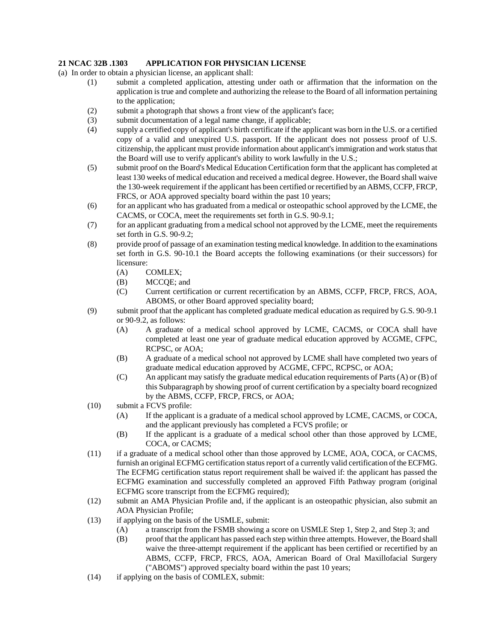## **21 NCAC 32B .1303 APPLICATION FOR PHYSICIAN LICENSE**

- (a) In order to obtain a physician license, an applicant shall:
	- (1) submit a completed application, attesting under oath or affirmation that the information on the application is true and complete and authorizing the release to the Board of all information pertaining to the application;
	- (2) submit a photograph that shows a front view of the applicant's face;
	- (3) submit documentation of a legal name change, if applicable;
	- (4) supply a certified copy of applicant's birth certificate if the applicant was born in the U.S. or a certified copy of a valid and unexpired U.S. passport. If the applicant does not possess proof of U.S. citizenship, the applicant must provide information about applicant's immigration and work status that the Board will use to verify applicant's ability to work lawfully in the U.S.;
	- (5) submit proof on the Board's Medical Education Certification form that the applicant has completed at least 130 weeks of medical education and received a medical degree. However, the Board shall waive the 130-week requirement if the applicant has been certified or recertified by an ABMS, CCFP, FRCP, FRCS, or AOA approved specialty board within the past 10 years;
	- (6) for an applicant who has graduated from a medical or osteopathic school approved by the LCME, the CACMS, or COCA, meet the requirements set forth in G.S. 90-9.1;
	- (7) for an applicant graduating from a medical school not approved by the LCME, meet the requirements set forth in G.S. 90-9.2;
	- (8) provide proof of passage of an examination testing medical knowledge. In addition to the examinations set forth in G.S. 90-10.1 the Board accepts the following examinations (or their successors) for licensure:
		- (A) COMLEX;
		- (B) MCCQE; and
		- (C) Current certification or current recertification by an ABMS, CCFP, FRCP, FRCS, AOA, ABOMS, or other Board approved speciality board;
	- (9) submit proof that the applicant has completed graduate medical education as required by G.S. 90-9.1 or 90-9.2, as follows:
		- (A) A graduate of a medical school approved by LCME, CACMS, or COCA shall have completed at least one year of graduate medical education approved by ACGME, CFPC, RCPSC, or AOA;
		- (B) A graduate of a medical school not approved by LCME shall have completed two years of graduate medical education approved by ACGME, CFPC, RCPSC, or AOA;
		- (C) An applicant may satisfy the graduate medical education requirements of Parts (A) or (B) of this Subparagraph by showing proof of current certification by a specialty board recognized by the ABMS, CCFP, FRCP, FRCS, or AOA;
	- (10) submit a FCVS profile:
		- (A) If the applicant is a graduate of a medical school approved by LCME, CACMS, or COCA, and the applicant previously has completed a FCVS profile; or
		- (B) If the applicant is a graduate of a medical school other than those approved by LCME, COCA, or CACMS;
	- (11) if a graduate of a medical school other than those approved by LCME, AOA, COCA, or CACMS, furnish an original ECFMG certification status report of a currently valid certification of the ECFMG. The ECFMG certification status report requirement shall be waived if: the applicant has passed the ECFMG examination and successfully completed an approved Fifth Pathway program (original ECFMG score transcript from the ECFMG required);
	- (12) submit an AMA Physician Profile and, if the applicant is an osteopathic physician, also submit an AOA Physician Profile;
	- (13) if applying on the basis of the USMLE, submit:
		- (A) a transcript from the FSMB showing a score on USMLE Step 1, Step 2, and Step 3; and
		- (B) proof that the applicant has passed each step within three attempts. However, the Board shall waive the three-attempt requirement if the applicant has been certified or recertified by an ABMS, CCFP, FRCP, FRCS, AOA, American Board of Oral Maxillofacial Surgery ("ABOMS") approved specialty board within the past 10 years;
	- (14) if applying on the basis of COMLEX, submit: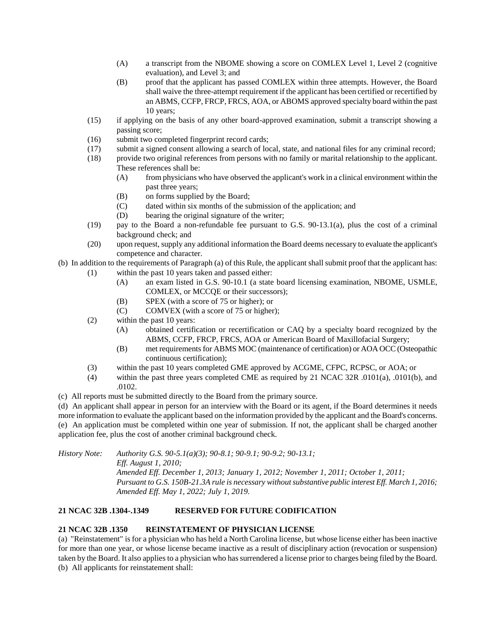- (A) a transcript from the NBOME showing a score on COMLEX Level 1, Level 2 (cognitive evaluation), and Level 3; and
- (B) proof that the applicant has passed COMLEX within three attempts. However, the Board shall waive the three-attempt requirement if the applicant has been certified or recertified by an ABMS, CCFP, FRCP, FRCS, AOA, or ABOMS approved specialty board within the past 10 years;
- (15) if applying on the basis of any other board-approved examination, submit a transcript showing a passing score;
- (16) submit two completed fingerprint record cards;
- (17) submit a signed consent allowing a search of local, state, and national files for any criminal record;
- (18) provide two original references from persons with no family or marital relationship to the applicant. These references shall be:
	- (A) from physicians who have observed the applicant's work in a clinical environment within the past three years;
	- (B) on forms supplied by the Board;
	- (C) dated within six months of the submission of the application; and
	- (D) bearing the original signature of the writer;
- (19) pay to the Board a non-refundable fee pursuant to G.S. 90-13.1(a), plus the cost of a criminal background check; and
- (20) upon request, supply any additional information the Board deems necessary to evaluate the applicant's competence and character.

## (b) In addition to the requirements of Paragraph (a) of this Rule, the applicant shall submit proof that the applicant has:

- (1) within the past 10 years taken and passed either:
	- (A) an exam listed in G.S. 90-10.1 (a state board licensing examination, NBOME, USMLE, COMLEX, or MCCQE or their successors);
	- (B) SPEX (with a score of 75 or higher); or
	- (C) COMVEX (with a score of 75 or higher);
	- (2) within the past 10 years:
		- (A) obtained certification or recertification or CAQ by a specialty board recognized by the ABMS, CCFP, FRCP, FRCS, AOA or American Board of Maxillofacial Surgery;
		- (B) met requirements for ABMS MOC (maintenance of certification) or AOA OCC (Osteopathic continuous certification);
	- (3) within the past 10 years completed GME approved by ACGME, CFPC, RCPSC, or AOA; or
	- (4) within the past three years completed CME as required by 21 NCAC 32R .0101(a), .0101(b), and .0102.
- (c) All reports must be submitted directly to the Board from the primary source.

(d) An applicant shall appear in person for an interview with the Board or its agent, if the Board determines it needs more information to evaluate the applicant based on the information provided by the applicant and the Board's concerns. (e) An application must be completed within one year of submission. If not, the applicant shall be charged another application fee, plus the cost of another criminal background check.

*History Note: Authority G.S. 90-5.1(a)(3); 90-8.1; 90-9.1; 90-9.2; 90-13.1; Eff. August 1, 2010; Amended Eff. December 1, 2013; January 1, 2012; November 1, 2011; October 1, 2011; Pursuant to G.S. 150B-21.3A rule is necessary without substantive public interest Eff. March 1, 2016;*

# *Amended Eff. May 1, 2022; July 1, 2019.*

## **21 NCAC 32B .1304-.1349 RESERVED FOR FUTURE CODIFICATION**

## **21 NCAC 32B .1350 REINSTATEMENT OF PHYSICIAN LICENSE**

(a) "Reinstatement" is for a physician who has held a North Carolina license, but whose license either has been inactive for more than one year, or whose license became inactive as a result of disciplinary action (revocation or suspension) taken by the Board. It also applies to a physician who has surrendered a license prior to charges being filed by the Board. (b) All applicants for reinstatement shall: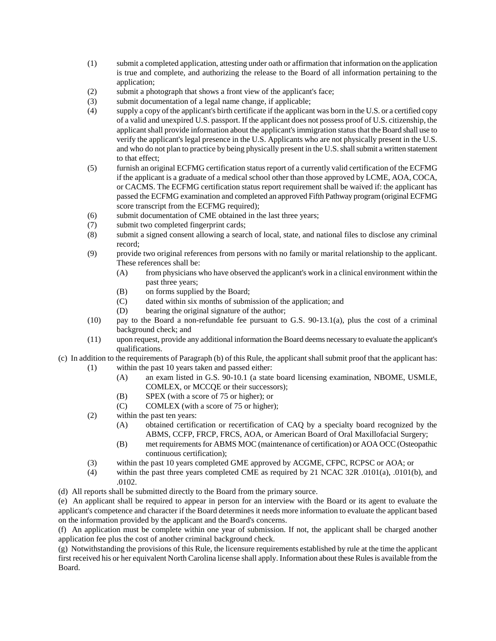- (1) submit a completed application, attesting under oath or affirmation that information on the application is true and complete, and authorizing the release to the Board of all information pertaining to the application;
- (2) submit a photograph that shows a front view of the applicant's face;
- (3) submit documentation of a legal name change, if applicable;
- (4) supply a copy of the applicant's birth certificate if the applicant was born in the U.S. or a certified copy of a valid and unexpired U.S. passport. If the applicant does not possess proof of U.S. citizenship, the applicant shall provide information about the applicant's immigration status that the Board shall use to verify the applicant's legal presence in the U.S. Applicants who are not physically present in the U.S. and who do not plan to practice by being physically present in the U.S. shall submit a written statement to that effect;
- (5) furnish an original ECFMG certification status report of a currently valid certification of the ECFMG if the applicant is a graduate of a medical school other than those approved by LCME, AOA, COCA, or CACMS. The ECFMG certification status report requirement shall be waived if: the applicant has passed the ECFMG examination and completed an approved Fifth Pathway program (original ECFMG score transcript from the ECFMG required);
- (6) submit documentation of CME obtained in the last three years;
- (7) submit two completed fingerprint cards;
- (8) submit a signed consent allowing a search of local, state, and national files to disclose any criminal record;
- (9) provide two original references from persons with no family or marital relationship to the applicant. These references shall be:
	- (A) from physicians who have observed the applicant's work in a clinical environment within the past three years;
	- (B) on forms supplied by the Board;
	- (C) dated within six months of submission of the application; and
	- (D) bearing the original signature of the author;
- (10) pay to the Board a non-refundable fee pursuant to G.S. 90-13.1(a), plus the cost of a criminal background check; and
- (11) upon request, provide any additional information the Board deems necessary to evaluate the applicant's qualifications.
- (c) In addition to the requirements of Paragraph (b) of this Rule, the applicant shall submit proof that the applicant has: (1) within the past 10 years taken and passed either:
	- (A) an exam listed in G.S. 90-10.1 (a state board licensing examination, NBOME, USMLE, COMLEX, or MCCQE or their successors);
	- (B) SPEX (with a score of 75 or higher); or
	- (C) COMLEX (with a score of 75 or higher);
	- (2) within the past ten years:
		- (A) obtained certification or recertification of CAQ by a specialty board recognized by the ABMS, CCFP, FRCP, FRCS, AOA, or American Board of Oral Maxillofacial Surgery;
		- (B) met requirements for ABMS MOC (maintenance of certification) or AOA OCC (Osteopathic continuous certification);
	- (3) within the past 10 years completed GME approved by ACGME, CFPC, RCPSC or AOA; or
	- (4) within the past three years completed CME as required by 21 NCAC 32R .0101(a), .0101(b), and .0102.
- (d) All reports shall be submitted directly to the Board from the primary source.

(e) An applicant shall be required to appear in person for an interview with the Board or its agent to evaluate the applicant's competence and character if the Board determines it needs more information to evaluate the applicant based on the information provided by the applicant and the Board's concerns.

(f) An application must be complete within one year of submission. If not, the applicant shall be charged another application fee plus the cost of another criminal background check.

(g) Notwithstanding the provisions of this Rule, the licensure requirements established by rule at the time the applicant first received his or her equivalent North Carolina license shall apply. Information about these Rules is available from the Board.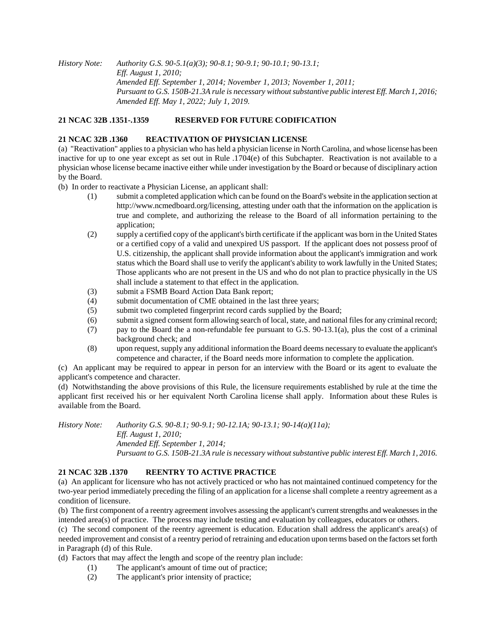*History Note: Authority G.S. 90-5.1(a)(3); 90-8.1; 90-9.1; 90-10.1; 90-13.1; Eff. August 1, 2010; Amended Eff. September 1, 2014; November 1, 2013; November 1, 2011; Pursuant to G.S. 150B-21.3A rule is necessary without substantive public interest Eff. March 1, 2016; Amended Eff. May 1, 2022; July 1, 2019.*

## **21 NCAC 32B .1351-.1359 RESERVED FOR FUTURE CODIFICATION**

## **21 NCAC 32B .1360 REACTIVATION OF PHYSICIAN LICENSE**

(a) "Reactivation" applies to a physician who has held a physician license in North Carolina, and whose license has been inactive for up to one year except as set out in Rule .1704(e) of this Subchapter. Reactivation is not available to a physician whose license became inactive either while under investigation by the Board or because of disciplinary action by the Board.

(b) In order to reactivate a Physician License, an applicant shall:

- (1) submit a completed application which can be found on the Board's website in the application section at http://www.ncmedboard.org/licensing, attesting under oath that the information on the application is true and complete, and authorizing the release to the Board of all information pertaining to the application;
- (2) supply a certified copy of the applicant's birth certificate if the applicant was born in the United States or a certified copy of a valid and unexpired US passport. If the applicant does not possess proof of U.S. citizenship, the applicant shall provide information about the applicant's immigration and work status which the Board shall use to verify the applicant's ability to work lawfully in the United States; Those applicants who are not present in the US and who do not plan to practice physically in the US shall include a statement to that effect in the application.
- (3) submit a FSMB Board Action Data Bank report;
- (4) submit documentation of CME obtained in the last three years;
- (5) submit two completed fingerprint record cards supplied by the Board;
- (6) submit a signed consent form allowing search of local, state, and national files for any criminal record;
- (7) pay to the Board the a non-refundable fee pursuant to G.S. 90-13.1(a), plus the cost of a criminal background check; and
- (8) upon request, supply any additional information the Board deems necessary to evaluate the applicant's competence and character, if the Board needs more information to complete the application.

(c) An applicant may be required to appear in person for an interview with the Board or its agent to evaluate the applicant's competence and character.

(d) Notwithstanding the above provisions of this Rule, the licensure requirements established by rule at the time the applicant first received his or her equivalent North Carolina license shall apply. Information about these Rules is available from the Board.

*History Note: Authority G.S. 90-8.1; 90-9.1; 90-12.1A; 90-13.1; 90-14(a)(11a); Eff. August 1, 2010; Amended Eff. September 1, 2014; Pursuant to G.S. 150B-21.3A rule is necessary without substantive public interest Eff. March 1, 2016.*

## **21 NCAC 32B .1370 REENTRY TO ACTIVE PRACTICE**

(a) An applicant for licensure who has not actively practiced or who has not maintained continued competency for the two-year period immediately preceding the filing of an application for a license shall complete a reentry agreement as a condition of licensure.

(b) The first component of a reentry agreement involves assessing the applicant's current strengths and weaknesses in the intended area(s) of practice. The process may include testing and evaluation by colleagues, educators or others.

(c) The second component of the reentry agreement is education. Education shall address the applicant's area(s) of needed improvement and consist of a reentry period of retraining and education upon terms based on the factors set forth in Paragraph (d) of this Rule.

(d) Factors that may affect the length and scope of the reentry plan include:

- (1) The applicant's amount of time out of practice;
- (2) The applicant's prior intensity of practice;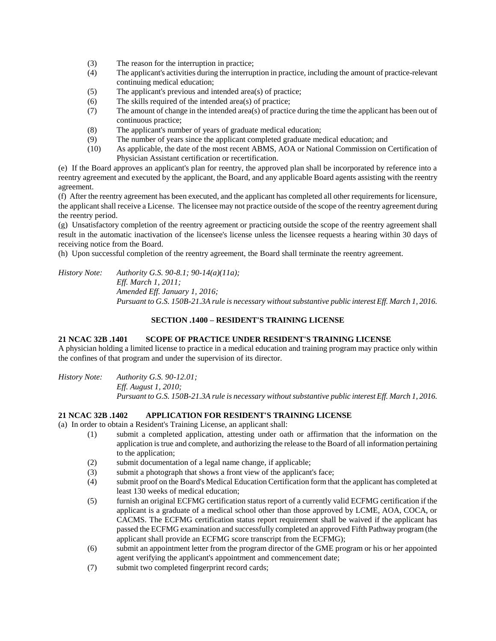- (3) The reason for the interruption in practice;
- (4) The applicant's activities during the interruption in practice, including the amount of practice-relevant continuing medical education;
- (5) The applicant's previous and intended area(s) of practice;
- (6) The skills required of the intended area(s) of practice;
- (7) The amount of change in the intended area(s) of practice during the time the applicant has been out of continuous practice;
- (8) The applicant's number of years of graduate medical education;
- (9) The number of years since the applicant completed graduate medical education; and
- (10) As applicable, the date of the most recent ABMS, AOA or National Commission on Certification of Physician Assistant certification or recertification.

(e) If the Board approves an applicant's plan for reentry, the approved plan shall be incorporated by reference into a reentry agreement and executed by the applicant, the Board, and any applicable Board agents assisting with the reentry agreement.

(f) After the reentry agreement has been executed, and the applicant has completed all other requirements for licensure, the applicant shall receive a License. The licensee may not practice outside of the scope of the reentry agreement during the reentry period.

(g) Unsatisfactory completion of the reentry agreement or practicing outside the scope of the reentry agreement shall result in the automatic inactivation of the licensee's license unless the licensee requests a hearing within 30 days of receiving notice from the Board.

(h) Upon successful completion of the reentry agreement, the Board shall terminate the reentry agreement.

*History Note: Authority G.S. 90-8.1; 90-14(a)(11a); Eff. March 1, 2011; Amended Eff. January 1, 2016; Pursuant to G.S. 150B-21.3A rule is necessary without substantive public interest Eff. March 1, 2016.*

## **SECTION .1400 – RESIDENT'S TRAINING LICENSE**

### **21 NCAC 32B .1401 SCOPE OF PRACTICE UNDER RESIDENT'S TRAINING LICENSE**

A physician holding a limited license to practice in a medical education and training program may practice only within the confines of that program and under the supervision of its director.

*History Note: Authority G.S. 90-12.01; Eff. August 1, 2010; Pursuant to G.S. 150B-21.3A rule is necessary without substantive public interest Eff. March 1, 2016.*

## **21 NCAC 32B .1402 APPLICATION FOR RESIDENT'S TRAINING LICENSE**

(a) In order to obtain a Resident's Training License, an applicant shall:

- (1) submit a completed application, attesting under oath or affirmation that the information on the application is true and complete, and authorizing the release to the Board of all information pertaining to the application;
- (2) submit documentation of a legal name change, if applicable;
- (3) submit a photograph that shows a front view of the applicant's face;
- (4) submit proof on the Board's Medical Education Certification form that the applicant has completed at least 130 weeks of medical education;
- (5) furnish an original ECFMG certification status report of a currently valid ECFMG certification if the applicant is a graduate of a medical school other than those approved by LCME, AOA, COCA, or CACMS. The ECFMG certification status report requirement shall be waived if the applicant has passed the ECFMG examination and successfully completed an approved Fifth Pathway program (the applicant shall provide an ECFMG score transcript from the ECFMG);
- (6) submit an appointment letter from the program director of the GME program or his or her appointed agent verifying the applicant's appointment and commencement date;
- (7) submit two completed fingerprint record cards;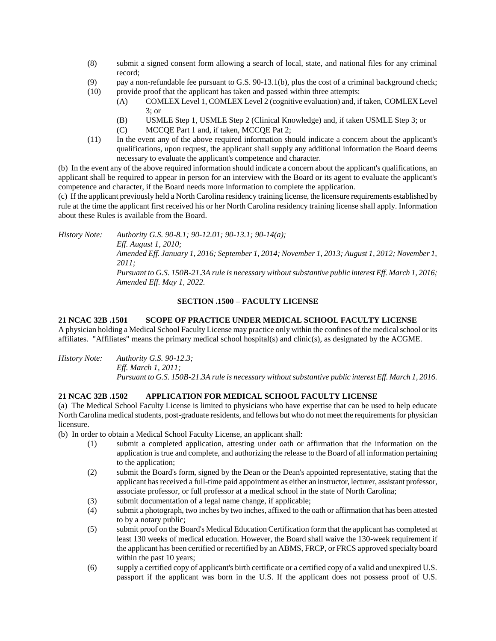- (8) submit a signed consent form allowing a search of local, state, and national files for any criminal record;
- (9) pay a non-refundable fee pursuant to G.S. 90-13.1(b), plus the cost of a criminal background check;
- (10) provide proof that the applicant has taken and passed within three attempts:
	- (A) COMLEX Level 1, COMLEX Level 2 (cognitive evaluation) and, if taken, COMLEX Level 3; or
		- (B) USMLE Step 1, USMLE Step 2 (Clinical Knowledge) and, if taken USMLE Step 3; or
		- (C) MCCQE Part 1 and, if taken, MCCQE Pat 2;
- (11) In the event any of the above required information should indicate a concern about the applicant's qualifications, upon request, the applicant shall supply any additional information the Board deems necessary to evaluate the applicant's competence and character.

(b) In the event any of the above required information should indicate a concern about the applicant's qualifications, an applicant shall be required to appear in person for an interview with the Board or its agent to evaluate the applicant's competence and character, if the Board needs more information to complete the application.

(c) If the applicant previously held a North Carolina residency training license, the licensure requirements established by rule at the time the applicant first received his or her North Carolina residency training license shall apply. Information about these Rules is available from the Board.

*History Note: Authority G.S. 90-8.1; 90-12.01; 90-13.1; 90-14(a); Eff. August 1, 2010; Amended Eff. January 1, 2016; September 1, 2014; November 1, 2013; August 1, 2012; November 1, 2011; Pursuant to G.S. 150B-21.3A rule is necessary without substantive public interest Eff. March 1, 2016; Amended Eff. May 1, 2022.*

## **SECTION .1500 – FACULTY LICENSE**

## **21 NCAC 32B .1501 SCOPE OF PRACTICE UNDER MEDICAL SCHOOL FACULTY LICENSE** A physician holding a Medical School Faculty License may practice only within the confines of the medical school or its

affiliates. "Affiliates" means the primary medical school hospital(s) and clinic(s), as designated by the ACGME.

*History Note: Authority G.S. 90-12.3; Eff. March 1, 2011; Pursuant to G.S. 150B-21.3A rule is necessary without substantive public interest Eff. March 1, 2016.*

# **21 NCAC 32B .1502 APPLICATION FOR MEDICAL SCHOOL FACULTY LICENSE**

(a) The Medical School Faculty License is limited to physicians who have expertise that can be used to help educate North Carolina medical students, post-graduate residents, and fellows but who do not meet the requirements for physician licensure.

(b) In order to obtain a Medical School Faculty License, an applicant shall:

- (1) submit a completed application, attesting under oath or affirmation that the information on the application is true and complete, and authorizing the release to the Board of all information pertaining to the application;
- (2) submit the Board's form, signed by the Dean or the Dean's appointed representative, stating that the applicant has received a full-time paid appointment as either an instructor, lecturer, assistant professor, associate professor, or full professor at a medical school in the state of North Carolina;
- (3) submit documentation of a legal name change, if applicable;
- (4) submit a photograph, two inches by two inches, affixed to the oath or affirmation that has been attested to by a notary public;
- (5) submit proof on the Board's Medical Education Certification form that the applicant has completed at least 130 weeks of medical education. However, the Board shall waive the 130-week requirement if the applicant has been certified or recertified by an ABMS, FRCP, or FRCS approved specialty board within the past 10 years;
- (6) supply a certified copy of applicant's birth certificate or a certified copy of a valid and unexpired U.S. passport if the applicant was born in the U.S. If the applicant does not possess proof of U.S.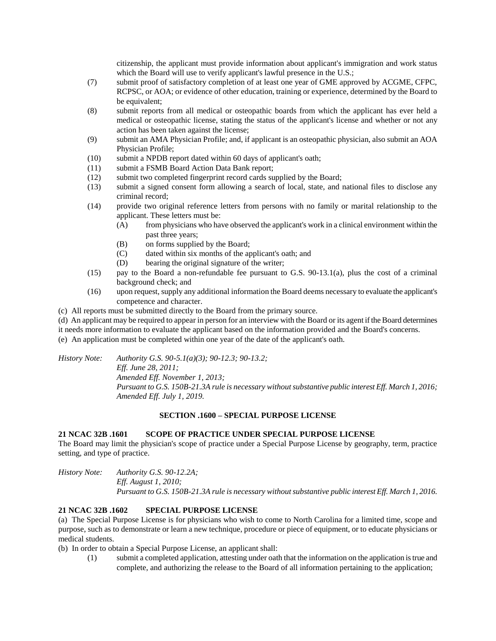citizenship, the applicant must provide information about applicant's immigration and work status which the Board will use to verify applicant's lawful presence in the U.S.;

- (7) submit proof of satisfactory completion of at least one year of GME approved by ACGME, CFPC, RCPSC, or AOA; or evidence of other education, training or experience, determined by the Board to be equivalent;
- (8) submit reports from all medical or osteopathic boards from which the applicant has ever held a medical or osteopathic license, stating the status of the applicant's license and whether or not any action has been taken against the license;
- (9) submit an AMA Physician Profile; and, if applicant is an osteopathic physician, also submit an AOA Physician Profile;
- (10) submit a NPDB report dated within 60 days of applicant's oath;
- (11) submit a FSMB Board Action Data Bank report;
- (12) submit two completed fingerprint record cards supplied by the Board;
- (13) submit a signed consent form allowing a search of local, state, and national files to disclose any criminal record;
- (14) provide two original reference letters from persons with no family or marital relationship to the applicant. These letters must be:
	- (A) from physicians who have observed the applicant's work in a clinical environment within the past three years;
	- (B) on forms supplied by the Board;
	- (C) dated within six months of the applicant's oath; and
	- (D) bearing the original signature of the writer;
- (15) pay to the Board a non-refundable fee pursuant to G.S. 90-13.1(a), plus the cost of a criminal background check; and
- (16) upon request, supply any additional information the Board deems necessary to evaluate the applicant's competence and character.
- (c) All reports must be submitted directly to the Board from the primary source.

(d) An applicant may be required to appear in person for an interview with the Board or its agent if the Board determines it needs more information to evaluate the applicant based on the information provided and the Board's concerns.

(e) An application must be completed within one year of the date of the applicant's oath.

*History Note: Authority G.S. 90-5.1(a)(3); 90-12.3; 90-13.2; Eff. June 28, 2011; Amended Eff. November 1, 2013; Pursuant to G.S. 150B-21.3A rule is necessary without substantive public interest Eff. March 1, 2016; Amended Eff. July 1, 2019.*

## **SECTION .1600 – SPECIAL PURPOSE LICENSE**

## **21 NCAC 32B .1601 SCOPE OF PRACTICE UNDER SPECIAL PURPOSE LICENSE**

The Board may limit the physician's scope of practice under a Special Purpose License by geography, term, practice setting, and type of practice.

*History Note: Authority G.S. 90-12.2A; Eff. August 1, 2010; Pursuant to G.S. 150B-21.3A rule is necessary without substantive public interest Eff. March 1, 2016.*

## **21 NCAC 32B .1602 SPECIAL PURPOSE LICENSE**

(a) The Special Purpose License is for physicians who wish to come to North Carolina for a limited time, scope and purpose, such as to demonstrate or learn a new technique, procedure or piece of equipment, or to educate physicians or medical students.

(b) In order to obtain a Special Purpose License, an applicant shall:

(1) submit a completed application, attesting under oath that the information on the application is true and complete, and authorizing the release to the Board of all information pertaining to the application;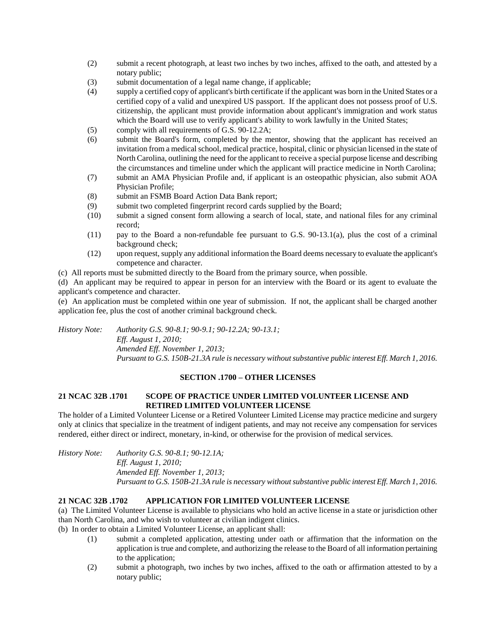- (2) submit a recent photograph, at least two inches by two inches, affixed to the oath, and attested by a notary public;
- (3) submit documentation of a legal name change, if applicable;
- (4) supply a certified copy of applicant's birth certificate if the applicant was born in the United States or a certified copy of a valid and unexpired US passport. If the applicant does not possess proof of U.S. citizenship, the applicant must provide information about applicant's immigration and work status which the Board will use to verify applicant's ability to work lawfully in the United States;
- (5) comply with all requirements of G.S. 90-12.2A;
- (6) submit the Board's form, completed by the mentor, showing that the applicant has received an invitation from a medical school, medical practice, hospital, clinic or physician licensed in the state of North Carolina, outlining the need for the applicant to receive a special purpose license and describing the circumstances and timeline under which the applicant will practice medicine in North Carolina;
- (7) submit an AMA Physician Profile and, if applicant is an osteopathic physician, also submit AOA Physician Profile;
- (8) submit an FSMB Board Action Data Bank report;
- (9) submit two completed fingerprint record cards supplied by the Board;
- (10) submit a signed consent form allowing a search of local, state, and national files for any criminal record;
- (11) pay to the Board a non-refundable fee pursuant to G.S. 90-13.1(a), plus the cost of a criminal background check;
- (12) upon request, supply any additional information the Board deems necessary to evaluate the applicant's competence and character.
- (c) All reports must be submitted directly to the Board from the primary source, when possible.

(d) An applicant may be required to appear in person for an interview with the Board or its agent to evaluate the applicant's competence and character.

(e) An application must be completed within one year of submission. If not, the applicant shall be charged another application fee, plus the cost of another criminal background check.

*History Note: Authority G.S. 90-8.1; 90-9.1; 90-12.2A; 90-13.1; Eff. August 1, 2010; Amended Eff. November 1, 2013; Pursuant to G.S. 150B-21.3A rule is necessary without substantive public interest Eff. March 1, 2016.*

## **SECTION .1700 – OTHER LICENSES**

## **21 NCAC 32B .1701 SCOPE OF PRACTICE UNDER LIMITED VOLUNTEER LICENSE AND RETIRED LIMITED VOLUNTEER LICENSE**

The holder of a Limited Volunteer License or a Retired Volunteer Limited License may practice medicine and surgery only at clinics that specialize in the treatment of indigent patients, and may not receive any compensation for services rendered, either direct or indirect, monetary, in-kind, or otherwise for the provision of medical services.

*History Note: Authority G.S. 90-8.1; 90-12.1A; Eff. August 1, 2010; Amended Eff. November 1, 2013; Pursuant to G.S. 150B-21.3A rule is necessary without substantive public interest Eff. March 1, 2016.*

## **21 NCAC 32B .1702 APPLICATION FOR LIMITED VOLUNTEER LICENSE**

(a) The Limited Volunteer License is available to physicians who hold an active license in a state or jurisdiction other than North Carolina, and who wish to volunteer at civilian indigent clinics.

- (b) In order to obtain a Limited Volunteer License, an applicant shall:
	- (1) submit a completed application, attesting under oath or affirmation that the information on the application is true and complete, and authorizing the release to the Board of all information pertaining to the application;
	- (2) submit a photograph, two inches by two inches, affixed to the oath or affirmation attested to by a notary public;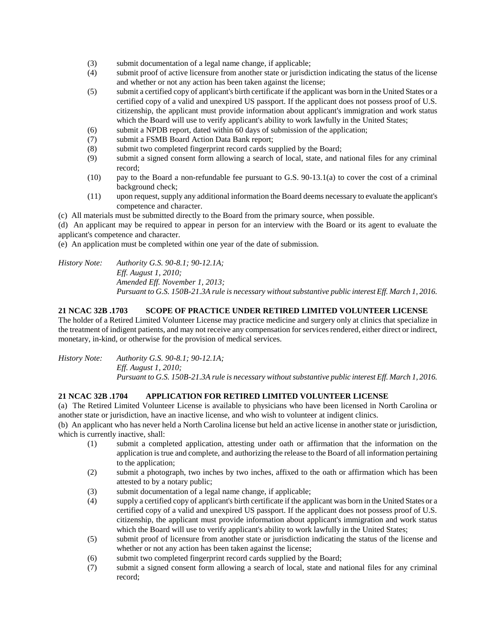- (3) submit documentation of a legal name change, if applicable;
- (4) submit proof of active licensure from another state or jurisdiction indicating the status of the license and whether or not any action has been taken against the license;
- (5) submit a certified copy of applicant's birth certificate if the applicant was born in the United States or a certified copy of a valid and unexpired US passport. If the applicant does not possess proof of U.S. citizenship, the applicant must provide information about applicant's immigration and work status which the Board will use to verify applicant's ability to work lawfully in the United States;
- (6) submit a NPDB report, dated within 60 days of submission of the application;
- (7) submit a FSMB Board Action Data Bank report;
- (8) submit two completed fingerprint record cards supplied by the Board;
- (9) submit a signed consent form allowing a search of local, state, and national files for any criminal record;
- (10) pay to the Board a non-refundable fee pursuant to G.S. 90-13.1(a) to cover the cost of a criminal background check;
- (11) upon request, supply any additional information the Board deems necessary to evaluate the applicant's competence and character.
- (c) All materials must be submitted directly to the Board from the primary source, when possible.

(d) An applicant may be required to appear in person for an interview with the Board or its agent to evaluate the applicant's competence and character.

(e) An application must be completed within one year of the date of submission.

*History Note: Authority G.S. 90-8.1; 90-12.1A; Eff. August 1, 2010; Amended Eff. November 1, 2013; Pursuant to G.S. 150B-21.3A rule is necessary without substantive public interest Eff. March 1, 2016.*

### **21 NCAC 32B .1703 SCOPE OF PRACTICE UNDER RETIRED LIMITED VOLUNTEER LICENSE**

The holder of a Retired Limited Volunteer License may practice medicine and surgery only at clinics that specialize in the treatment of indigent patients, and may not receive any compensation for services rendered, either direct or indirect, monetary, in-kind, or otherwise for the provision of medical services.

*History Note: Authority G.S. 90-8.1; 90-12.1A; Eff. August 1, 2010; Pursuant to G.S. 150B-21.3A rule is necessary without substantive public interest Eff. March 1, 2016.*

## **21 NCAC 32B .1704 APPLICATION FOR RETIRED LIMITED VOLUNTEER LICENSE**

(a) The Retired Limited Volunteer License is available to physicians who have been licensed in North Carolina or another state or jurisdiction, have an inactive license, and who wish to volunteer at indigent clinics.

(b) An applicant who has never held a North Carolina license but held an active license in another state or jurisdiction, which is currently inactive, shall:

- (1) submit a completed application, attesting under oath or affirmation that the information on the application is true and complete, and authorizing the release to the Board of all information pertaining to the application;
- (2) submit a photograph, two inches by two inches, affixed to the oath or affirmation which has been attested to by a notary public;
- (3) submit documentation of a legal name change, if applicable;
- (4) supply a certified copy of applicant's birth certificate if the applicant was born in the United States or a certified copy of a valid and unexpired US passport. If the applicant does not possess proof of U.S. citizenship, the applicant must provide information about applicant's immigration and work status which the Board will use to verify applicant's ability to work lawfully in the United States;
- (5) submit proof of licensure from another state or jurisdiction indicating the status of the license and whether or not any action has been taken against the license;
- (6) submit two completed fingerprint record cards supplied by the Board;
- (7) submit a signed consent form allowing a search of local, state and national files for any criminal record;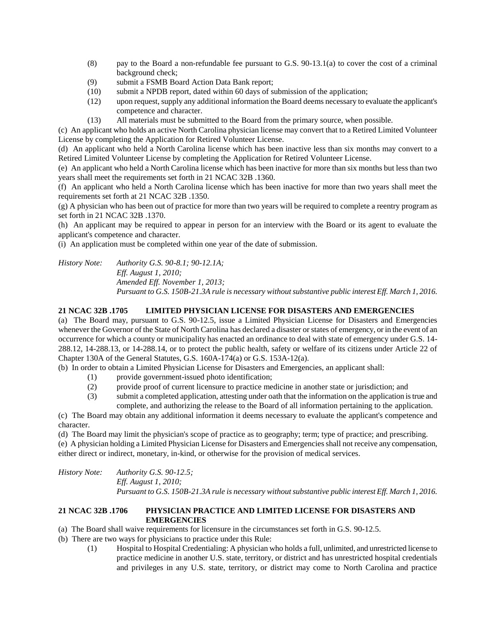- (8) pay to the Board a non-refundable fee pursuant to G.S. 90-13.1(a) to cover the cost of a criminal background check;
- (9) submit a FSMB Board Action Data Bank report;
- (10) submit a NPDB report, dated within 60 days of submission of the application;
- (12) upon request, supply any additional information the Board deems necessary to evaluate the applicant's competence and character.
- (13) All materials must be submitted to the Board from the primary source, when possible.

(c) An applicant who holds an active North Carolina physician license may convert that to a Retired Limited Volunteer License by completing the Application for Retired Volunteer License.

(d) An applicant who held a North Carolina license which has been inactive less than six months may convert to a Retired Limited Volunteer License by completing the Application for Retired Volunteer License.

(e) An applicant who held a North Carolina license which has been inactive for more than six months but less than two years shall meet the requirements set forth in 21 NCAC 32B .1360.

(f) An applicant who held a North Carolina license which has been inactive for more than two years shall meet the requirements set forth at 21 NCAC 32B .1350.

(g) A physician who has been out of practice for more than two years will be required to complete a reentry program as set forth in 21 NCAC 32B .1370.

(h) An applicant may be required to appear in person for an interview with the Board or its agent to evaluate the applicant's competence and character.

(i) An application must be completed within one year of the date of submission.

*History Note: Authority G.S. 90-8.1; 90-12.1A; Eff. August 1, 2010; Amended Eff. November 1, 2013; Pursuant to G.S. 150B-21.3A rule is necessary without substantive public interest Eff. March 1, 2016.*

## **21 NCAC 32B .1705 LIMITED PHYSICIAN LICENSE FOR DISASTERS AND EMERGENCIES**

(a) The Board may, pursuant to G.S. 90-12.5, issue a Limited Physician License for Disasters and Emergencies whenever the Governor of the State of North Carolina has declared a disaster or states of emergency, or in the event of an occurrence for which a county or municipality has enacted an ordinance to deal with state of emergency under G.S. 14- 288.12, 14-288.13, or 14-288.14, or to protect the public health, safety or welfare of its citizens under Article 22 of Chapter 130A of the General Statutes, G.S. 160A-174(a) or G.S. 153A-12(a).

(b) In order to obtain a Limited Physician License for Disasters and Emergencies, an applicant shall:

- (1) provide government-issued photo identification;
- (2) provide proof of current licensure to practice medicine in another state or jurisdiction; and
- (3) submit a completed application, attesting under oath that the information on the application is true and complete, and authorizing the release to the Board of all information pertaining to the application.

(c) The Board may obtain any additional information it deems necessary to evaluate the applicant's competence and character.

(d) The Board may limit the physician's scope of practice as to geography; term; type of practice; and prescribing. (e) A physician holding a Limited Physician License for Disasters and Emergencies shall not receive any compensation, either direct or indirect, monetary, in-kind, or otherwise for the provision of medical services.

*History Note: Authority G.S. 90-12.5; Eff. August 1, 2010; Pursuant to G.S. 150B-21.3A rule is necessary without substantive public interest Eff. March 1, 2016.*

## **21 NCAC 32B .1706 PHYSICIAN PRACTICE AND LIMITED LICENSE FOR DISASTERS AND EMERGENCIES**

- (a) The Board shall waive requirements for licensure in the circumstances set forth in G.S. 90-12.5.
- (b) There are two ways for physicians to practice under this Rule:
	- (1) Hospital to Hospital Credentialing: A physician who holds a full, unlimited, and unrestricted license to practice medicine in another U.S. state, territory, or district and has unrestricted hospital credentials and privileges in any U.S. state, territory, or district may come to North Carolina and practice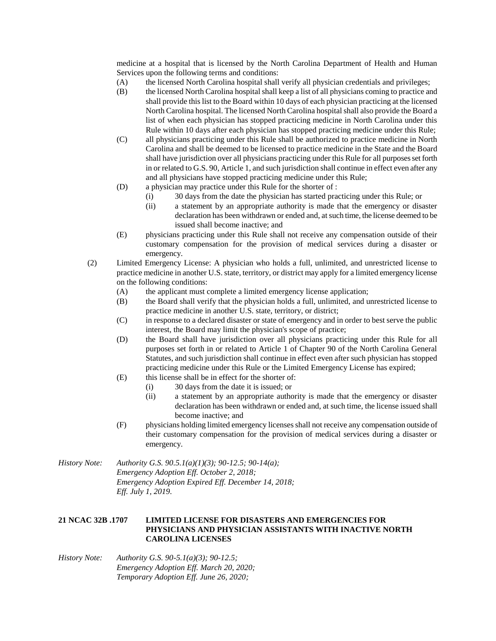medicine at a hospital that is licensed by the North Carolina Department of Health and Human Services upon the following terms and conditions:

- (A) the licensed North Carolina hospital shall verify all physician credentials and privileges;
- (B) the licensed North Carolina hospital shall keep a list of all physicians coming to practice and shall provide this list to the Board within 10 days of each physician practicing at the licensed North Carolina hospital. The licensed North Carolina hospital shall also provide the Board a list of when each physician has stopped practicing medicine in North Carolina under this Rule within 10 days after each physician has stopped practicing medicine under this Rule;
- (C) all physicians practicing under this Rule shall be authorized to practice medicine in North Carolina and shall be deemed to be licensed to practice medicine in the State and the Board shall have jurisdiction over all physicians practicing under this Rule for all purposes set forth in or related to G.S. 90, Article 1, and such jurisdiction shall continue in effect even after any and all physicians have stopped practicing medicine under this Rule;
- (D) a physician may practice under this Rule for the shorter of :
	- (i) 30 days from the date the physician has started practicing under this Rule; or
	- (ii) a statement by an appropriate authority is made that the emergency or disaster declaration has been withdrawn or ended and, at such time, the license deemed to be issued shall become inactive; and
- (E) physicians practicing under this Rule shall not receive any compensation outside of their customary compensation for the provision of medical services during a disaster or emergency.
- (2) Limited Emergency License: A physician who holds a full, unlimited, and unrestricted license to practice medicine in another U.S. state, territory, or district may apply for a limited emergency license on the following conditions:
	- (A) the applicant must complete a limited emergency license application;
	- (B) the Board shall verify that the physician holds a full, unlimited, and unrestricted license to practice medicine in another U.S. state, territory, or district;
	- (C) in response to a declared disaster or state of emergency and in order to best serve the public interest, the Board may limit the physician's scope of practice;
	- (D) the Board shall have jurisdiction over all physicians practicing under this Rule for all purposes set forth in or related to Article 1 of Chapter 90 of the North Carolina General Statutes, and such jurisdiction shall continue in effect even after such physician has stopped practicing medicine under this Rule or the Limited Emergency License has expired;
	- (E) this license shall be in effect for the shorter of:
		- (i) 30 days from the date it is issued; or
		- (ii) a statement by an appropriate authority is made that the emergency or disaster declaration has been withdrawn or ended and, at such time, the license issued shall become inactive; and
	- (F) physicians holding limited emergency licenses shall not receive any compensation outside of their customary compensation for the provision of medical services during a disaster or emergency.

*History Note: Authority G.S. 90.5.1(a)(1)(3); 90-12.5; 90-14(a); Emergency Adoption Eff. October 2, 2018; Emergency Adoption Expired Eff. December 14, 2018; Eff. July 1, 2019.*

## **21 NCAC 32B .1707 LIMITED LICENSE FOR DISASTERS AND EMERGENCIES FOR PHYSICIANS AND PHYSICIAN ASSISTANTS WITH INACTIVE NORTH CAROLINA LICENSES**

*History Note: Authority G.S. 90-5.1(a)(3); 90-12.5; Emergency Adoption Eff. March 20, 2020; Temporary Adoption Eff. June 26, 2020;*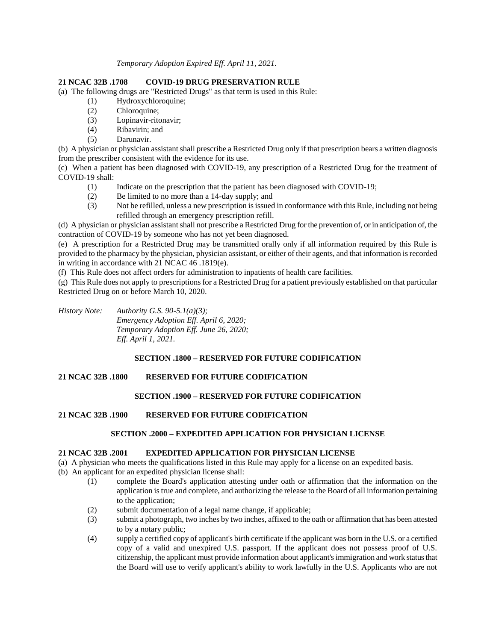*Temporary Adoption Expired Eff. April 11, 2021.*

## **21 NCAC 32B .1708 COVID-19 DRUG PRESERVATION RULE**

(a) The following drugs are "Restricted Drugs" as that term is used in this Rule:

- (1) Hydroxychloroquine;
- (2) Chloroquine;
- (3) Lopinavir-ritonavir;
- (4) Ribavirin; and
- (5) Darunavir.

(b) A physician or physician assistant shall prescribe a Restricted Drug only if that prescription bears a written diagnosis from the prescriber consistent with the evidence for its use.

(c) When a patient has been diagnosed with COVID-19, any prescription of a Restricted Drug for the treatment of COVID-19 shall:

- (1) Indicate on the prescription that the patient has been diagnosed with COVID-19;
- (2) Be limited to no more than a 14-day supply; and
- (3) Not be refilled, unless a new prescription is issued in conformance with this Rule, including not being refilled through an emergency prescription refill.

(d) A physician or physician assistant shall not prescribe a Restricted Drug for the prevention of, or in anticipation of, the contraction of COVID-19 by someone who has not yet been diagnosed.

(e) A prescription for a Restricted Drug may be transmitted orally only if all information required by this Rule is provided to the pharmacy by the physician, physician assistant, or either of their agents, and that information is recorded in writing in accordance with 21 NCAC 46 .1819(e).

(f) This Rule does not affect orders for administration to inpatients of health care facilities.

(g) This Rule does not apply to prescriptions for a Restricted Drug for a patient previously established on that particular Restricted Drug on or before March 10, 2020.

*History Note: Authority G.S. 90-5.1(a)(3); Emergency Adoption Eff. April 6, 2020; Temporary Adoption Eff. June 26, 2020; Eff. April 1, 2021.*

# **SECTION .1800 – RESERVED FOR FUTURE CODIFICATION**

## **21 NCAC 32B .1800 RESERVED FOR FUTURE CODIFICATION**

# **SECTION .1900 – RESERVED FOR FUTURE CODIFICATION**

## **21 NCAC 32B .1900 RESERVED FOR FUTURE CODIFICATION**

## **SECTION .2000 – EXPEDITED APPLICATION FOR PHYSICIAN LICENSE**

## **21 NCAC 32B .2001 EXPEDITED APPLICATION FOR PHYSICIAN LICENSE**

- (a) A physician who meets the qualifications listed in this Rule may apply for a license on an expedited basis.
- (b) An applicant for an expedited physician license shall:
	- (1) complete the Board's application attesting under oath or affirmation that the information on the application is true and complete, and authorizing the release to the Board of all information pertaining to the application;
	- (2) submit documentation of a legal name change, if applicable;
	- (3) submit a photograph, two inches by two inches, affixed to the oath or affirmation that has been attested to by a notary public;
	- (4) supply a certified copy of applicant's birth certificate if the applicant was born in the U.S. or a certified copy of a valid and unexpired U.S. passport. If the applicant does not possess proof of U.S. citizenship, the applicant must provide information about applicant's immigration and work status that the Board will use to verify applicant's ability to work lawfully in the U.S. Applicants who are not